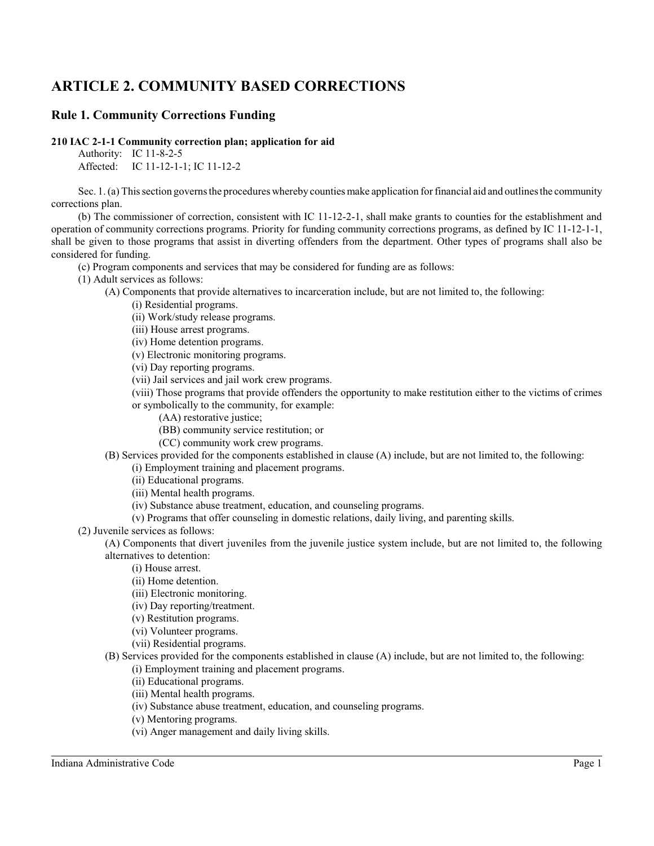# **ARTICLE 2. COMMUNITY BASED CORRECTIONS**

# **Rule 1. Community Corrections Funding**

**210 IAC 2-1-1 Community correction plan; application for aid**

Authority: IC 11-8-2-5 Affected: IC 11-12-1-1; IC 11-12-2

Sec. 1. (a) This section governs the procedures whereby counties make application for financial aid and outlines the community corrections plan.

(b) The commissioner of correction, consistent with IC 11-12-2-1, shall make grants to counties for the establishment and operation of community corrections programs. Priority for funding community corrections programs, as defined by IC 11-12-1-1, shall be given to those programs that assist in diverting offenders from the department. Other types of programs shall also be considered for funding.

(c) Program components and services that may be considered for funding are as follows:

(1) Adult services as follows:

(A) Components that provide alternatives to incarceration include, but are not limited to, the following:

(i) Residential programs.

(ii) Work/study release programs.

(iii) House arrest programs.

(iv) Home detention programs.

(v) Electronic monitoring programs.

(vi) Day reporting programs.

(vii) Jail services and jail work crew programs.

(viii) Those programs that provide offenders the opportunity to make restitution either to the victims of crimes or symbolically to the community, for example:

- (AA) restorative justice;
- (BB) community service restitution; or
- (CC) community work crew programs.

(B) Services provided for the components established in clause (A) include, but are not limited to, the following:

(i) Employment training and placement programs.

(ii) Educational programs.

(iii) Mental health programs.

- (iv) Substance abuse treatment, education, and counseling programs.
- (v) Programs that offer counseling in domestic relations, daily living, and parenting skills.

(2) Juvenile services as follows:

(A) Components that divert juveniles from the juvenile justice system include, but are not limited to, the following alternatives to detention:

(i) House arrest.

- (ii) Home detention.
- (iii) Electronic monitoring.
- (iv) Day reporting/treatment.
- (v) Restitution programs.
- (vi) Volunteer programs.
- (vii) Residential programs.
- (B) Services provided for the components established in clause (A) include, but are not limited to, the following: (i) Employment training and placement programs.
	- (ii) Educational programs.
	- (iii) Mental health programs.
	- (iv) Substance abuse treatment, education, and counseling programs.
	- (v) Mentoring programs.
	- (vi) Anger management and daily living skills.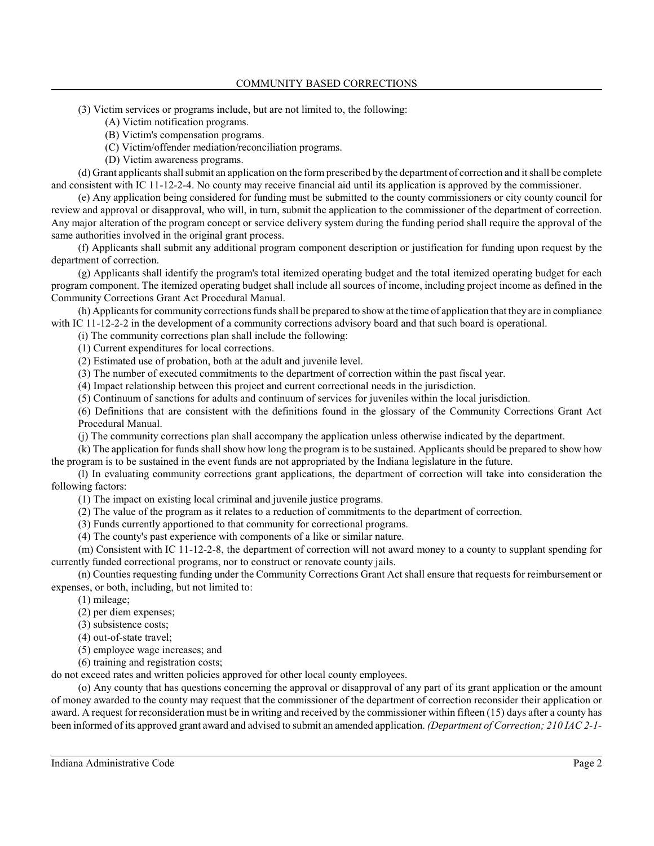- (3) Victim services or programs include, but are not limited to, the following:
	- (A) Victim notification programs.
	- (B) Victim's compensation programs.
	- (C) Victim/offender mediation/reconciliation programs.
	- (D) Victim awareness programs.

(d) Grant applicants shall submit an application on the formprescribed by the department of correction and it shall be complete and consistent with IC 11-12-2-4. No county may receive financial aid until its application is approved by the commissioner.

(e) Any application being considered for funding must be submitted to the county commissioners or city county council for review and approval or disapproval, who will, in turn, submit the application to the commissioner of the department of correction. Any major alteration of the program concept or service delivery system during the funding period shall require the approval of the same authorities involved in the original grant process.

(f) Applicants shall submit any additional program component description or justification for funding upon request by the department of correction.

(g) Applicants shall identify the program's total itemized operating budget and the total itemized operating budget for each program component. The itemized operating budget shall include all sources of income, including project income as defined in the Community Corrections Grant Act Procedural Manual.

(h) Applicants for community corrections funds shall be prepared to show at the time of application that they are in compliance with IC 11-12-2-2 in the development of a community corrections advisory board and that such board is operational.

(i) The community corrections plan shall include the following:

(1) Current expenditures for local corrections.

(2) Estimated use of probation, both at the adult and juvenile level.

(3) The number of executed commitments to the department of correction within the past fiscal year.

(4) Impact relationship between this project and current correctional needs in the jurisdiction.

(5) Continuum of sanctions for adults and continuum of services for juveniles within the local jurisdiction.

(6) Definitions that are consistent with the definitions found in the glossary of the Community Corrections Grant Act Procedural Manual.

(j) The community corrections plan shall accompany the application unless otherwise indicated by the department.

(k) The application for funds shall show how long the program is to be sustained. Applicants should be prepared to show how the program is to be sustained in the event funds are not appropriated by the Indiana legislature in the future.

(l) In evaluating community corrections grant applications, the department of correction will take into consideration the following factors:

(1) The impact on existing local criminal and juvenile justice programs.

(2) The value of the program as it relates to a reduction of commitments to the department of correction.

(3) Funds currently apportioned to that community for correctional programs.

(4) The county's past experience with components of a like or similar nature.

(m) Consistent with IC 11-12-2-8, the department of correction will not award money to a county to supplant spending for currently funded correctional programs, nor to construct or renovate county jails.

(n) Counties requesting funding under the Community Corrections Grant Act shall ensure that requests for reimbursement or expenses, or both, including, but not limited to:

(1) mileage;

(2) per diem expenses;

(3) subsistence costs;

(4) out-of-state travel;

(5) employee wage increases; and

(6) training and registration costs;

do not exceed rates and written policies approved for other local county employees.

(o) Any county that has questions concerning the approval or disapproval of any part of its grant application or the amount of money awarded to the county may request that the commissioner of the department of correction reconsider their application or award. A request for reconsideration must be in writing and received by the commissioner within fifteen (15) days after a county has been informed of its approved grant award and advised to submit an amended application. *(Department of Correction; 210 IAC 2-1-*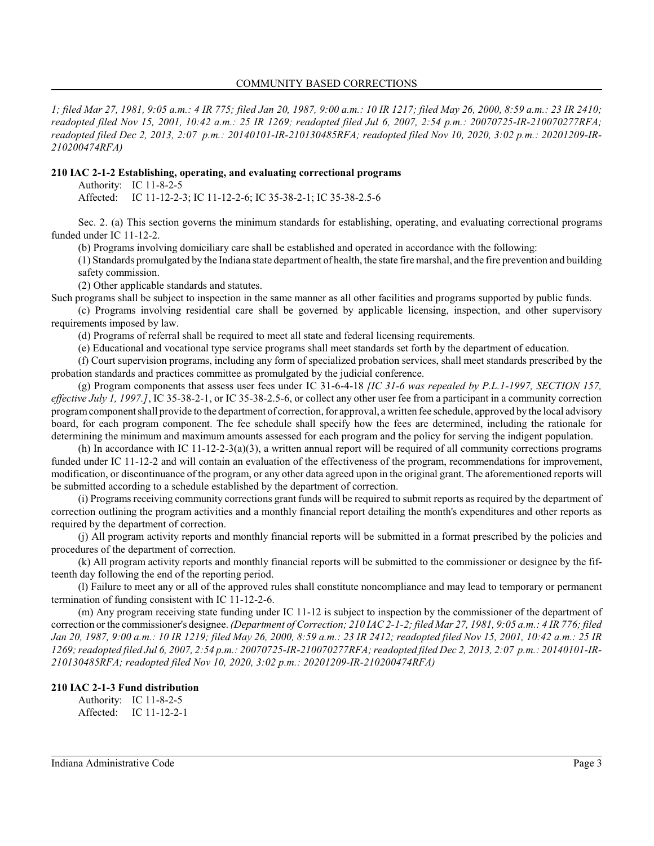*1; filed Mar 27, 1981, 9:05 a.m.: 4 IR 775; filed Jan 20, 1987, 9:00 a.m.: 10 IR 1217; filed May 26, 2000, 8:59 a.m.: 23 IR 2410; readopted filed Nov 15, 2001, 10:42 a.m.: 25 IR 1269; readopted filed Jul 6, 2007, 2:54 p.m.: 20070725-IR-210070277RFA; readopted filed Dec 2, 2013, 2:07 p.m.: 20140101-IR-210130485RFA; readopted filed Nov 10, 2020, 3:02 p.m.: 20201209-IR-210200474RFA)*

#### **210 IAC 2-1-2 Establishing, operating, and evaluating correctional programs**

Authority: IC 11-8-2-5

Affected: IC 11-12-2-3; IC 11-12-2-6; IC 35-38-2-1; IC 35-38-2.5-6

Sec. 2. (a) This section governs the minimum standards for establishing, operating, and evaluating correctional programs funded under IC 11-12-2.

(b) Programs involving domiciliary care shall be established and operated in accordance with the following:

(1) Standards promulgated by the Indiana state department of health, the state fire marshal, and the fire prevention and building safety commission.

(2) Other applicable standards and statutes.

Such programs shall be subject to inspection in the same manner as all other facilities and programs supported by public funds.

(c) Programs involving residential care shall be governed by applicable licensing, inspection, and other supervisory requirements imposed by law.

(d) Programs of referral shall be required to meet all state and federal licensing requirements.

(e) Educational and vocational type service programs shall meet standards set forth by the department of education.

(f) Court supervision programs, including any form of specialized probation services, shall meet standards prescribed by the probation standards and practices committee as promulgated by the judicial conference.

(g) Program components that assess user fees under IC 31-6-4-18 *[IC 31-6 was repealed by P.L.1-1997, SECTION 157, effective July 1, 1997.]*, IC 35-38-2-1, or IC 35-38-2.5-6, or collect any other user fee from a participant in a community correction programcomponent shall provide to the department of correction, for approval, a written fee schedule, approved by the local advisory board, for each program component. The fee schedule shall specify how the fees are determined, including the rationale for determining the minimum and maximum amounts assessed for each program and the policy for serving the indigent population.

(h) In accordance with IC 11-12-2-3(a)(3), a written annual report will be required of all community corrections programs funded under IC 11-12-2 and will contain an evaluation of the effectiveness of the program, recommendations for improvement, modification, or discontinuance of the program, or any other data agreed upon in the original grant. The aforementioned reports will be submitted according to a schedule established by the department of correction.

(i) Programs receiving community corrections grant funds will be required to submit reports as required by the department of correction outlining the program activities and a monthly financial report detailing the month's expenditures and other reports as required by the department of correction.

(j) All program activity reports and monthly financial reports will be submitted in a format prescribed by the policies and procedures of the department of correction.

(k) All program activity reports and monthly financial reports will be submitted to the commissioner or designee by the fifteenth day following the end of the reporting period.

(l) Failure to meet any or all of the approved rules shall constitute noncompliance and may lead to temporary or permanent termination of funding consistent with IC 11-12-2-6.

(m) Any program receiving state funding under IC 11-12 is subject to inspection by the commissioner of the department of correction or the commissioner's designee. *(Department of Correction; 210 IAC 2-1-2; filed Mar 27, 1981, 9:05 a.m.: 4 IR 776; filed Jan 20, 1987, 9:00 a.m.: 10 IR 1219; filed May 26, 2000, 8:59 a.m.: 23 IR 2412; readopted filed Nov 15, 2001, 10:42 a.m.: 25 IR 1269; readopted filed Jul 6, 2007, 2:54 p.m.: 20070725-IR-210070277RFA; readopted filed Dec 2, 2013, 2:07 p.m.: 20140101-IR-210130485RFA; readopted filed Nov 10, 2020, 3:02 p.m.: 20201209-IR-210200474RFA)*

### **210 IAC 2-1-3 Fund distribution** Authority: IC 11-8-2-5

Affected: IC 11-12-2-1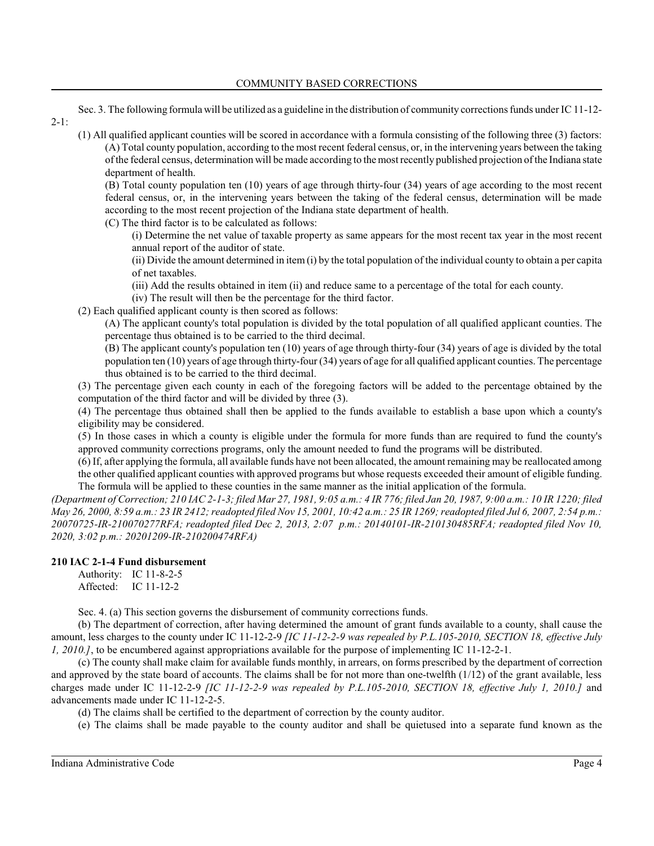#### COMMUNITY BASED CORRECTIONS

Sec. 3. The following formula will be utilized as a guideline in the distribution of community corrections funds under IC 11-12-  $2-1$ :

(1) All qualified applicant counties will be scored in accordance with a formula consisting of the following three (3) factors: (A) Total county population, according to the most recent federal census, or, in the intervening years between the taking of the federal census, determination will be made according to the most recently published projection of the Indiana state department of health.

(B) Total county population ten (10) years of age through thirty-four (34) years of age according to the most recent federal census, or, in the intervening years between the taking of the federal census, determination will be made according to the most recent projection of the Indiana state department of health.

(C) The third factor is to be calculated as follows:

(i) Determine the net value of taxable property as same appears for the most recent tax year in the most recent annual report of the auditor of state.

(ii) Divide the amount determined in item (i) by the total population of the individual county to obtain a per capita of net taxables.

- (iii) Add the results obtained in item (ii) and reduce same to a percentage of the total for each county.
- (iv) The result will then be the percentage for the third factor.
- (2) Each qualified applicant county is then scored as follows:

(A) The applicant county's total population is divided by the total population of all qualified applicant counties. The percentage thus obtained is to be carried to the third decimal.

(B) The applicant county's population ten (10) years of age through thirty-four (34) years of age is divided by the total population ten (10) years of age through thirty-four (34) years of age for all qualified applicant counties. The percentage thus obtained is to be carried to the third decimal.

(3) The percentage given each county in each of the foregoing factors will be added to the percentage obtained by the computation of the third factor and will be divided by three (3).

(4) The percentage thus obtained shall then be applied to the funds available to establish a base upon which a county's eligibility may be considered.

(5) In those cases in which a county is eligible under the formula for more funds than are required to fund the county's approved community corrections programs, only the amount needed to fund the programs will be distributed.

(6) If, after applying the formula, all available funds have not been allocated, the amount remaining may be reallocated among the other qualified applicant counties with approved programs but whose requests exceeded their amount of eligible funding. The formula will be applied to these counties in the same manner as the initial application of the formula.

*(Department of Correction; 210 IAC 2-1-3; filed Mar 27, 1981, 9:05 a.m.: 4 IR 776; filed Jan 20, 1987, 9:00 a.m.: 10 IR 1220; filed May 26, 2000, 8:59 a.m.: 23 IR 2412; readopted filed Nov 15, 2001, 10:42 a.m.: 25 IR 1269; readopted filed Jul 6, 2007, 2:54 p.m.: 20070725-IR-210070277RFA; readopted filed Dec 2, 2013, 2:07 p.m.: 20140101-IR-210130485RFA; readopted filed Nov 10, 2020, 3:02 p.m.: 20201209-IR-210200474RFA)*

### **210 IAC 2-1-4 Fund disbursement**

Authority: IC 11-8-2-5 Affected: IC 11-12-2

Sec. 4. (a) This section governs the disbursement of community corrections funds.

(b) The department of correction, after having determined the amount of grant funds available to a county, shall cause the amount, less charges to the county under IC 11-12-2-9 *[IC 11-12-2-9 was repealed by P.L.105-2010, SECTION 18, effective July 1, 2010.]*, to be encumbered against appropriations available for the purpose of implementing IC 11-12-2-1.

(c) The county shall make claim for available funds monthly, in arrears, on forms prescribed by the department of correction and approved by the state board of accounts. The claims shall be for not more than one-twelfth (1/12) of the grant available, less charges made under IC 11-12-2-9 *[IC 11-12-2-9 was repealed by P.L.105-2010, SECTION 18, effective July 1, 2010.]* and advancements made under IC 11-12-2-5.

(d) The claims shall be certified to the department of correction by the county auditor.

(e) The claims shall be made payable to the county auditor and shall be quietused into a separate fund known as the